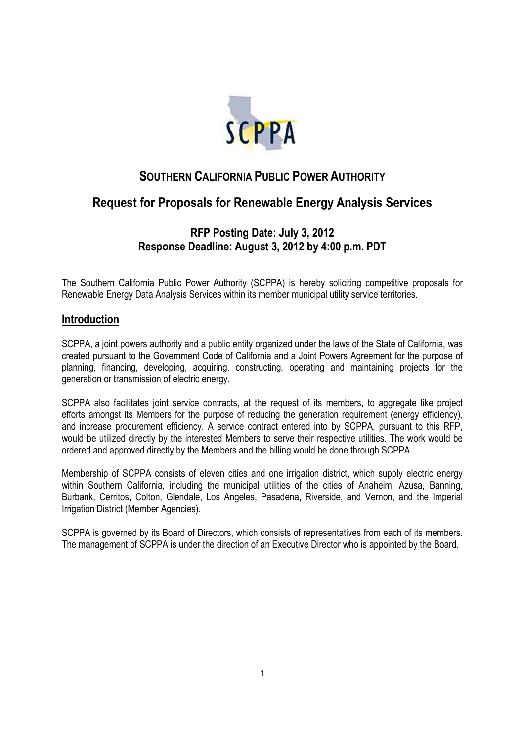

# **SOUTHERN CALIFORNIA PUBLIC POWER AUTHORITY**

# **Request for Proposals for Renewable Energy Analysis Services**

# **RFP Posting Date: July 3, 2012 Response Deadline: August 3, 2012 by 4:00 p.m. PDT**

The Southern California Public Power Authority (SCPPA) is hereby soliciting competitive proposals for Renewable Energy Data Analysis Services within its member municipal utility service territories.

### **Introduction**

SCPPA, a joint powers authority and a public entity organized under the laws of the State of California, was created pursuant to the Government Code of California and a Joint Powers Agreement for the purpose of planning, financing, developing, acquiring, constructing, operating and maintaining projects for the generation or transmission of electric energy.

SCPPA also facilitates joint service contracts, at the request of its members, to aggregate like project efforts amongst its Members for the purpose of reducing the generation requirement (energy efficiency), and increase procurement efficiency. A service contract entered into by SCPPA, pursuant to this RFP, would be utilized directly by the interested Members to serve their respective utilities. The work would be ordered and approved directly by the Members and the billing would be done through SCPPA.

Membership of SCPPA consists of eleven cities and one irrigation district, which supply electric energy within Southern California, including the municipal utilities of the cities of Anaheim, Azusa, Banning, Burbank, Cerritos, Colton, Glendale, Los Angeles, Pasadena, Riverside, and Vernon, and the Imperial Irrigation District (Member Agencies).

SCPPA is governed by its Board of Directors, which consists of representatives from each of its members. The management of SCPPA is under the direction of an Executive Director who is appointed by the Board.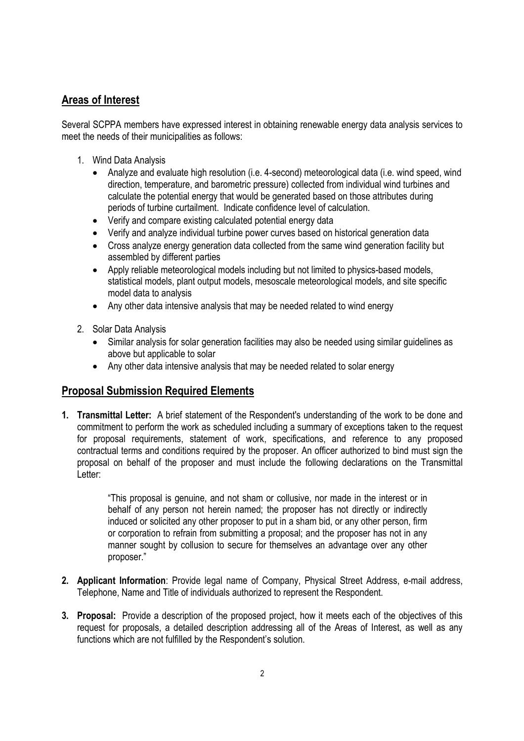## **Areas of Interest**

Several SCPPA members have expressed interest in obtaining renewable energy data analysis services to meet the needs of their municipalities as follows:

- 1. Wind Data Analysis
	- Analyze and evaluate high resolution (i.e. 4-second) meteorological data (i.e. wind speed, wind direction, temperature, and barometric pressure) collected from individual wind turbines and calculate the potential energy that would be generated based on those attributes during periods of turbine curtailment. Indicate confidence level of calculation.
	- Verify and compare existing calculated potential energy data
	- Verify and analyze individual turbine power curves based on historical generation data
	- Cross analyze energy generation data collected from the same wind generation facility but assembled by different parties
	- Apply reliable meteorological models including but not limited to physics-based models, statistical models, plant output models, mesoscale meteorological models, and site specific model data to analysis
	- Any other data intensive analysis that may be needed related to wind energy
- 2. Solar Data Analysis
	- Similar analysis for solar generation facilities may also be needed using similar guidelines as above but applicable to solar
	- Any other data intensive analysis that may be needed related to solar energy

## **Proposal Submission Required Elements**

**1. Transmittal Letter:** A brief statement of the Respondent's understanding of the work to be done and commitment to perform the work as scheduled including a summary of exceptions taken to the request for proposal requirements, statement of work, specifications, and reference to any proposed contractual terms and conditions required by the proposer. An officer authorized to bind must sign the proposal on behalf of the proposer and must include the following declarations on the Transmittal Letter:

> "This proposal is genuine, and not sham or collusive, nor made in the interest or in behalf of any person not herein named; the proposer has not directly or indirectly induced or solicited any other proposer to put in a sham bid, or any other person, firm or corporation to refrain from submitting a proposal; and the proposer has not in any manner sought by collusion to secure for themselves an advantage over any other proposer."

- **2. Applicant Information**: Provide legal name of Company, Physical Street Address, e-mail address, Telephone, Name and Title of individuals authorized to represent the Respondent.
- **3. Proposal:** Provide a description of the proposed project, how it meets each of the objectives of this request for proposals, a detailed description addressing all of the Areas of Interest, as well as any functions which are not fulfilled by the Respondent's solution.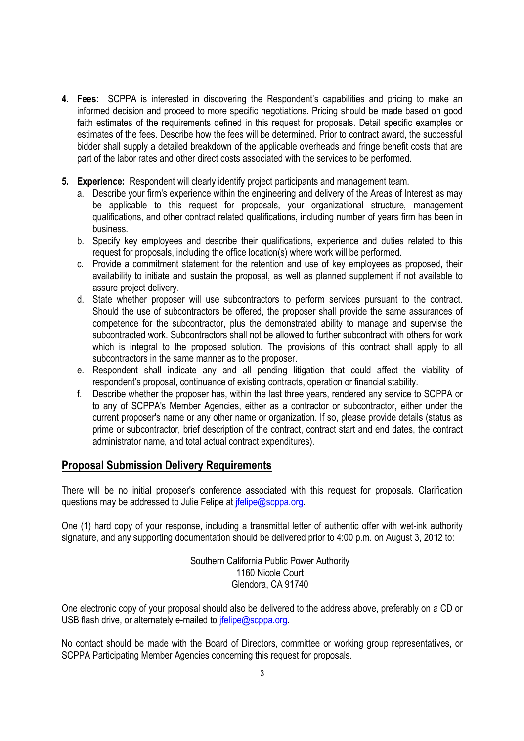- **4. Fees:** SCPPA is interested in discovering the Respondent's capabilities and pricing to make an informed decision and proceed to more specific negotiations. Pricing should be made based on good faith estimates of the requirements defined in this request for proposals. Detail specific examples or estimates of the fees. Describe how the fees will be determined. Prior to contract award, the successful bidder shall supply a detailed breakdown of the applicable overheads and fringe benefit costs that are part of the labor rates and other direct costs associated with the services to be performed.
- **5. Experience:** Respondent will clearly identify project participants and management team.
	- a. Describe your firm's experience within the engineering and delivery of the Areas of Interest as may be applicable to this request for proposals, your organizational structure, management qualifications, and other contract related qualifications, including number of years firm has been in business.
	- b. Specify key employees and describe their qualifications, experience and duties related to this request for proposals, including the office location(s) where work will be performed.
	- c. Provide a commitment statement for the retention and use of key employees as proposed, their availability to initiate and sustain the proposal, as well as planned supplement if not available to assure project delivery.
	- d. State whether proposer will use subcontractors to perform services pursuant to the contract. Should the use of subcontractors be offered, the proposer shall provide the same assurances of competence for the subcontractor, plus the demonstrated ability to manage and supervise the subcontracted work. Subcontractors shall not be allowed to further subcontract with others for work which is integral to the proposed solution. The provisions of this contract shall apply to all subcontractors in the same manner as to the proposer.
	- e. Respondent shall indicate any and all pending litigation that could affect the viability of respondent's proposal, continuance of existing contracts, operation or financial stability.
	- f. Describe whether the proposer has, within the last three years, rendered any service to SCPPA or to any of SCPPA's Member Agencies, either as a contractor or subcontractor, either under the current proposer's name or any other name or organization. If so, please provide details (status as prime or subcontractor, brief description of the contract, contract start and end dates, the contract administrator name, and total actual contract expenditures).

#### **Proposal Submission Delivery Requirements**

There will be no initial proposer's conference associated with this request for proposals. Clarification questions may be addressed to Julie Felipe at jfelipe@scppa.org.

One (1) hard copy of your response, including a transmittal letter of authentic offer with wet-ink authority signature, and any supporting documentation should be delivered prior to 4:00 p.m. on August 3, 2012 to:

> Southern California Public Power Authority 1160 Nicole Court Glendora, CA 91740

One electronic copy of your proposal should also be delivered to the address above, preferably on a CD or USB flash drive, or alternately e-mailed to *ifelipe@scppa.org.* 

No contact should be made with the Board of Directors, committee or working group representatives, or SCPPA Participating Member Agencies concerning this request for proposals.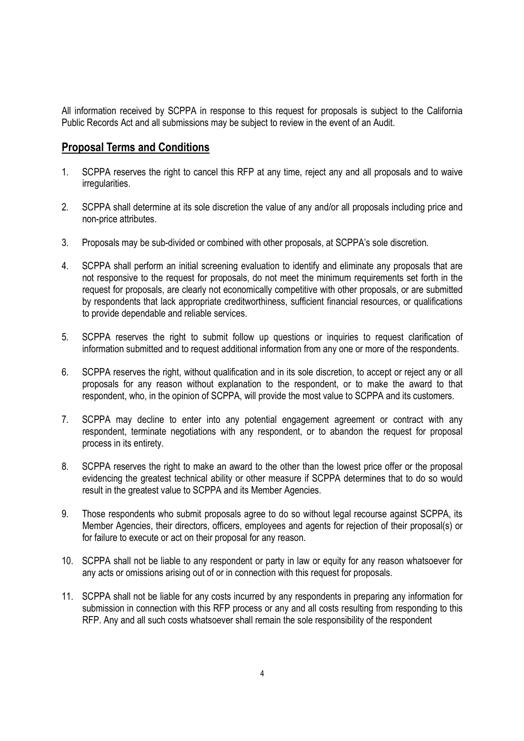All information received by SCPPA in response to this request for proposals is subject to the California Public Records Act and all submissions may be subject to review in the event of an Audit.

### **Proposal Terms and Conditions**

- 1. SCPPA reserves the right to cancel this RFP at any time, reject any and all proposals and to waive irregularities.
- 2. SCPPA shall determine at its sole discretion the value of any and/or all proposals including price and non-price attributes.
- 3. Proposals may be sub-divided or combined with other proposals, at SCPPA's sole discretion.
- 4. SCPPA shall perform an initial screening evaluation to identify and eliminate any proposals that are not responsive to the request for proposals, do not meet the minimum requirements set forth in the request for proposals, are clearly not economically competitive with other proposals, or are submitted by respondents that lack appropriate creditworthiness, sufficient financial resources, or qualifications to provide dependable and reliable services.
- 5. SCPPA reserves the right to submit follow up questions or inquiries to request clarification of information submitted and to request additional information from any one or more of the respondents.
- 6. SCPPA reserves the right, without qualification and in its sole discretion, to accept or reject any or all proposals for any reason without explanation to the respondent, or to make the award to that respondent, who, in the opinion of SCPPA, will provide the most value to SCPPA and its customers.
- 7. SCPPA may decline to enter into any potential engagement agreement or contract with any respondent, terminate negotiations with any respondent, or to abandon the request for proposal process in its entirety.
- 8. SCPPA reserves the right to make an award to the other than the lowest price offer or the proposal evidencing the greatest technical ability or other measure if SCPPA determines that to do so would result in the greatest value to SCPPA and its Member Agencies.
- 9. Those respondents who submit proposals agree to do so without legal recourse against SCPPA, its Member Agencies, their directors, officers, employees and agents for rejection of their proposal(s) or for failure to execute or act on their proposal for any reason.
- 10. SCPPA shall not be liable to any respondent or party in law or equity for any reason whatsoever for any acts or omissions arising out of or in connection with this request for proposals.
- 11. SCPPA shall not be liable for any costs incurred by any respondents in preparing any information for submission in connection with this RFP process or any and all costs resulting from responding to this RFP. Any and all such costs whatsoever shall remain the sole responsibility of the respondent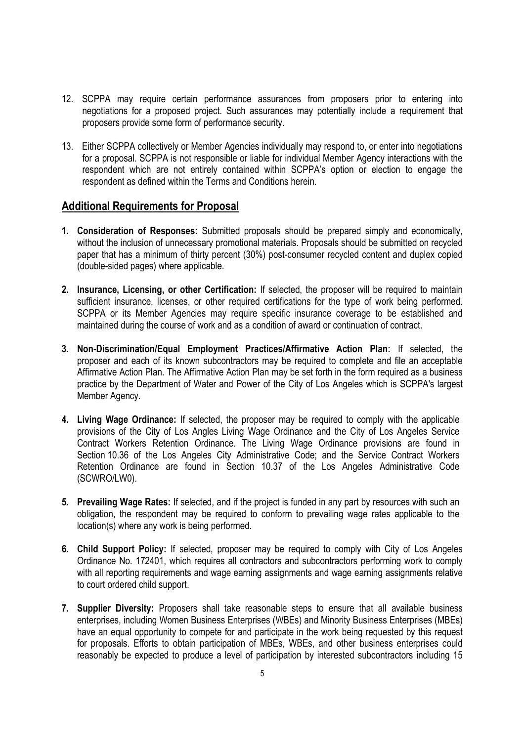- 12. SCPPA may require certain performance assurances from proposers prior to entering into negotiations for a proposed project. Such assurances may potentially include a requirement that proposers provide some form of performance security.
- 13. Either SCPPA collectively or Member Agencies individually may respond to, or enter into negotiations for a proposal. SCPPA is not responsible or liable for individual Member Agency interactions with the respondent which are not entirely contained within SCPPA's option or election to engage the respondent as defined within the Terms and Conditions herein.

#### **Additional Requirements for Proposal**

- **1. Consideration of Responses:** Submitted proposals should be prepared simply and economically, without the inclusion of unnecessary promotional materials. Proposals should be submitted on recycled paper that has a minimum of thirty percent (30%) post-consumer recycled content and duplex copied (double-sided pages) where applicable.
- **2. Insurance, Licensing, or other Certification:** If selected, the proposer will be required to maintain sufficient insurance, licenses, or other required certifications for the type of work being performed. SCPPA or its Member Agencies may require specific insurance coverage to be established and maintained during the course of work and as a condition of award or continuation of contract.
- **3. Non-Discrimination/Equal Employment Practices/Affirmative Action Plan:** If selected, the proposer and each of its known subcontractors may be required to complete and file an acceptable Affirmative Action Plan. The Affirmative Action Plan may be set forth in the form required as a business practice by the Department of Water and Power of the City of Los Angeles which is SCPPA's largest Member Agency.
- **4. Living Wage Ordinance:** If selected, the proposer may be required to comply with the applicable provisions of the City of Los Angles Living Wage Ordinance and the City of Los Angeles Service Contract Workers Retention Ordinance. The Living Wage Ordinance provisions are found in Section 10.36 of the Los Angeles City Administrative Code; and the Service Contract Workers Retention Ordinance are found in Section 10.37 of the Los Angeles Administrative Code (SCWRO/LW0).
- **5. Prevailing Wage Rates:** If selected, and if the project is funded in any part by resources with such an obligation, the respondent may be required to conform to prevailing wage rates applicable to the location(s) where any work is being performed.
- **6. Child Support Policy:** If selected, proposer may be required to comply with City of Los Angeles Ordinance No. 172401, which requires all contractors and subcontractors performing work to comply with all reporting requirements and wage earning assignments and wage earning assignments relative to court ordered child support.
- **7. Supplier Diversity:** Proposers shall take reasonable steps to ensure that all available business enterprises, including Women Business Enterprises (WBEs) and Minority Business Enterprises (MBEs) have an equal opportunity to compete for and participate in the work being requested by this request for proposals. Efforts to obtain participation of MBEs, WBEs, and other business enterprises could reasonably be expected to produce a level of participation by interested subcontractors including 15